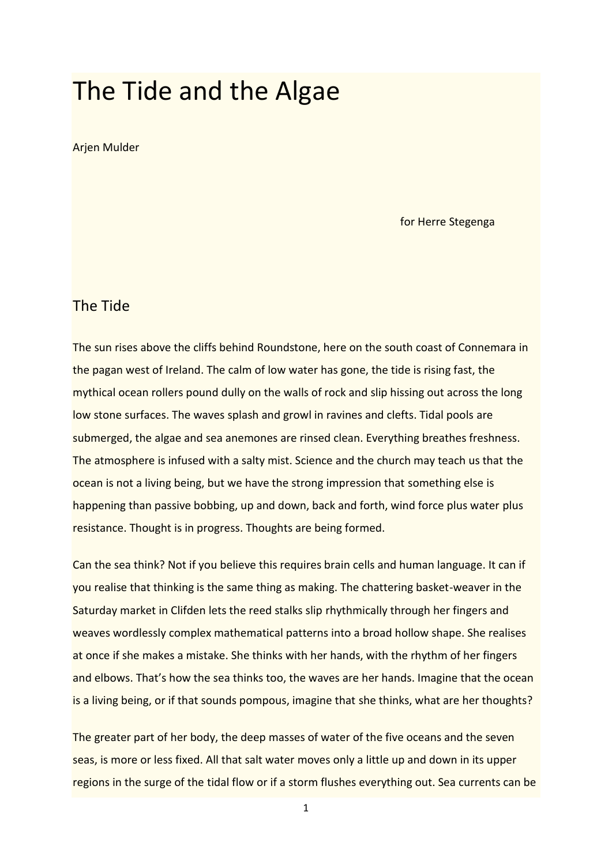# The Tide and the Algae

#### Arjen Mulder

for Herre Stegenga

## The Tide

The sun rises above the cliffs behind Roundstone, here on the south coast of Connemara in the pagan west of Ireland. The calm of low water has gone, the tide is rising fast, the mythical ocean rollers pound dully on the walls of rock and slip hissing out across the long low stone surfaces. The waves splash and growl in ravines and clefts. Tidal pools are submerged, the algae and sea anemones are rinsed clean. Everything breathes freshness. The atmosphere is infused with a salty mist. Science and the church may teach us that the ocean is not a living being, but we have the strong impression that something else is happening than passive bobbing, up and down, back and forth, wind force plus water plus resistance. Thought is in progress. Thoughts are being formed.

Can the sea think? Not if you believe this requires brain cells and human language. It can if you realise that thinking is the same thing as making. The chattering basket-weaver in the Saturday market in Clifden lets the reed stalks slip rhythmically through her fingers and weaves wordlessly complex mathematical patterns into a broad hollow shape. She realises at once if she makes a mistake. She thinks with her hands, with the rhythm of her fingers and elbows. That's how the sea thinks too, the waves are her hands. Imagine that the ocean is a living being, or if that sounds pompous, imagine that she thinks, what are her thoughts?

The greater part of her body, the deep masses of water of the five oceans and the seven seas, is more or less fixed. All that salt water moves only a little up and down in its upper regions in the surge of the tidal flow or if a storm flushes everything out. Sea currents can be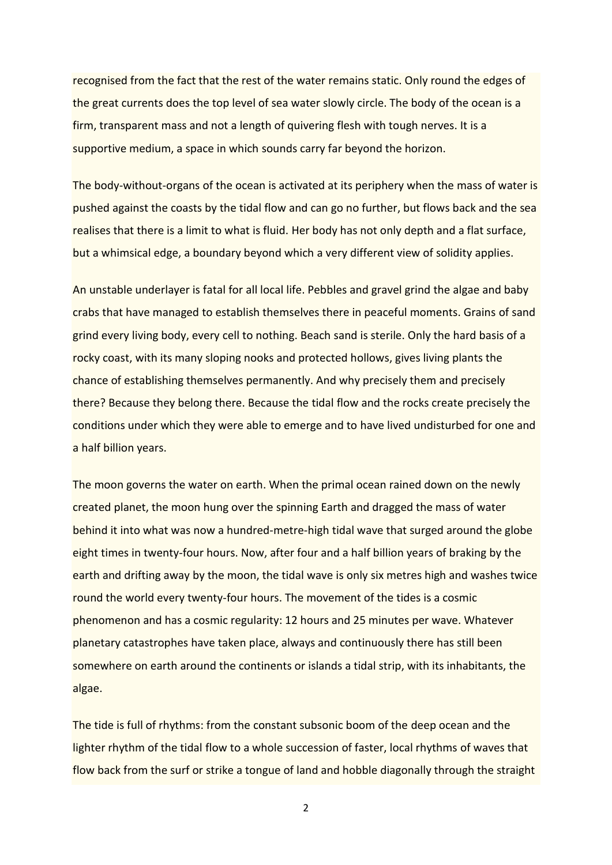recognised from the fact that the rest of the water remains static. Only round the edges of the great currents does the top level of sea water slowly circle. The body of the ocean is a firm, transparent mass and not a length of quivering flesh with tough nerves. It is a supportive medium, a space in which sounds carry far beyond the horizon.

The body-without-organs of the ocean is activated at its periphery when the mass of water is pushed against the coasts by the tidal flow and can go no further, but flows back and the sea realises that there is a limit to what is fluid. Her body has not only depth and a flat surface, but a whimsical edge, a boundary beyond which a very different view of solidity applies.

An unstable underlayer is fatal for all local life. Pebbles and gravel grind the algae and baby crabs that have managed to establish themselves there in peaceful moments. Grains of sand grind every living body, every cell to nothing. Beach sand is sterile. Only the hard basis of a rocky coast, with its many sloping nooks and protected hollows, gives living plants the chance of establishing themselves permanently. And why precisely them and precisely there? Because they belong there. Because the tidal flow and the rocks create precisely the conditions under which they were able to emerge and to have lived undisturbed for one and a half billion years.

The moon governs the water on earth. When the primal ocean rained down on the newly created planet, the moon hung over the spinning Earth and dragged the mass of water behind it into what was now a hundred-metre-high tidal wave that surged around the globe eight times in twenty-four hours. Now, after four and a half billion years of braking by the earth and drifting away by the moon, the tidal wave is only six metres high and washes twice round the world every twenty-four hours. The movement of the tides is a cosmic phenomenon and has a cosmic regularity: 12 hours and 25 minutes per wave. Whatever planetary catastrophes have taken place, always and continuously there has still been somewhere on earth around the continents or islands a tidal strip, with its inhabitants, the algae.

The tide is full of rhythms: from the constant subsonic boom of the deep ocean and the lighter rhythm of the tidal flow to a whole succession of faster, local rhythms of waves that flow back from the surf or strike a tongue of land and hobble diagonally through the straight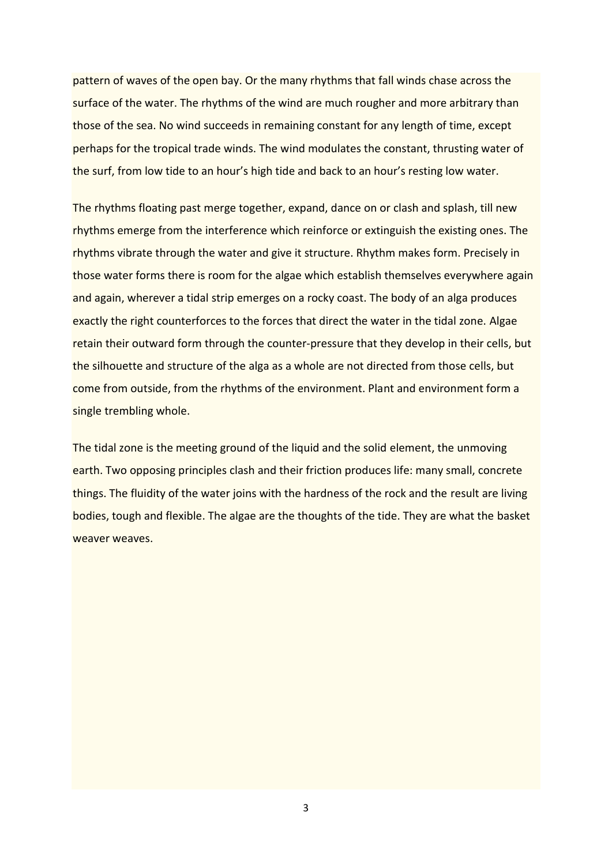pattern of waves of the open bay. Or the many rhythms that fall winds chase across the surface of the water. The rhythms of the wind are much rougher and more arbitrary than those of the sea. No wind succeeds in remaining constant for any length of time, except perhaps for the tropical trade winds. The wind modulates the constant, thrusting water of the surf, from low tide to an hour's high tide and back to an hour's resting low water.

The rhythms floating past merge together, expand, dance on or clash and splash, till new rhythms emerge from the interference which reinforce or extinguish the existing ones. The rhythms vibrate through the water and give it structure. Rhythm makes form. Precisely in those water forms there is room for the algae which establish themselves everywhere again and again, wherever a tidal strip emerges on a rocky coast. The body of an alga produces exactly the right counterforces to the forces that direct the water in the tidal zone. Algae retain their outward form through the counter-pressure that they develop in their cells, but the silhouette and structure of the alga as a whole are not directed from those cells, but come from outside, from the rhythms of the environment. Plant and environment form a single trembling whole.

The tidal zone is the meeting ground of the liquid and the solid element, the unmoving earth. Two opposing principles clash and their friction produces life: many small, concrete things. The fluidity of the water joins with the hardness of the rock and the result are living bodies, tough and flexible. The algae are the thoughts of the tide. They are what the basket weaver weaves.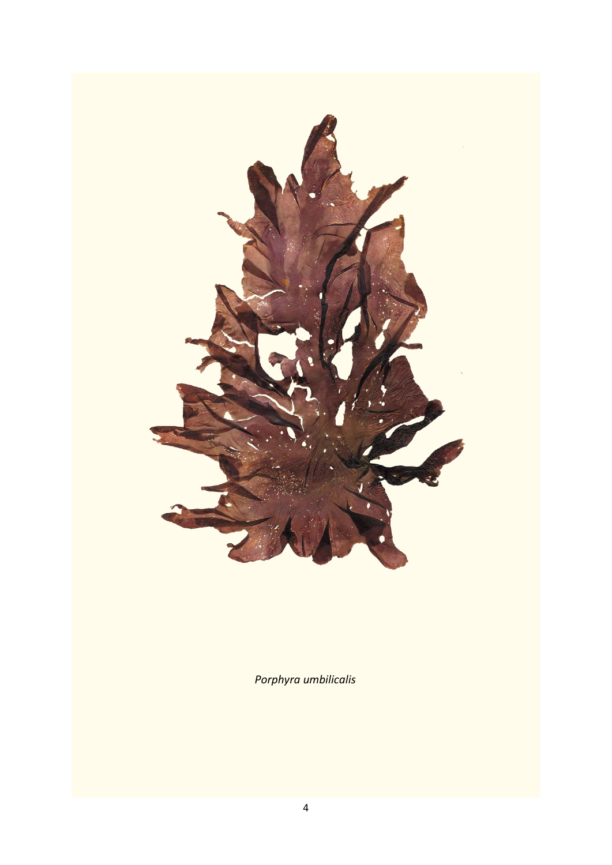

*Porphyra umbilicalis*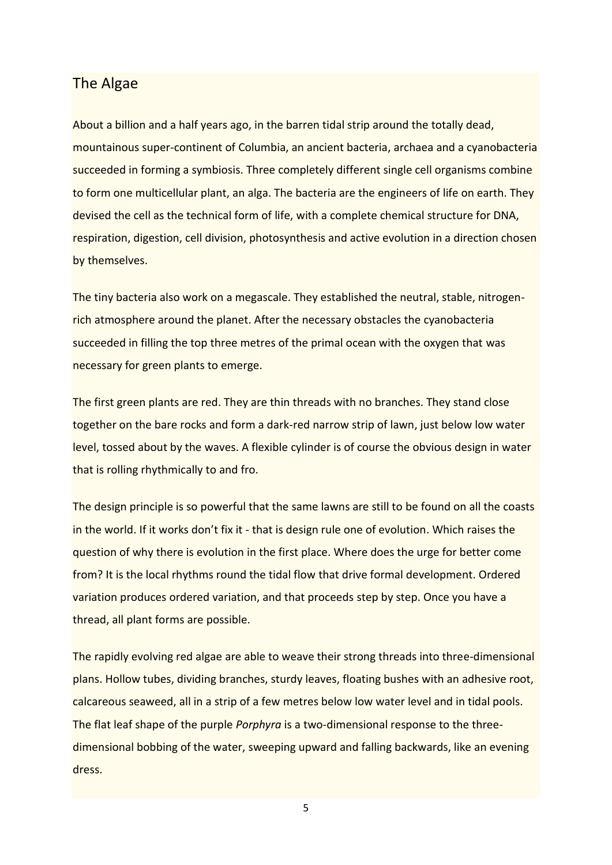## The Algae

About a billion and a half years ago, in the barren tidal strip around the totally dead, mountainous super-continent of Columbia, an ancient bacteria, archaea and a cyanobacteria succeeded in forming a symbiosis. Three completely different single cell organisms combine to form one multicellular plant, an alga. The bacteria are the engineers of life on earth. They devised the cell as the technical form of life, with a complete chemical structure for DNA, respiration, digestion, cell division, photosynthesis and active evolution in a direction chosen by themselves.

The tiny bacteria also work on a megascale. They established the neutral, stable, nitrogenrich atmosphere around the planet. After the necessary obstacles the cyanobacteria succeeded in filling the top three metres of the primal ocean with the oxygen that was necessary for green plants to emerge.

The first green plants are red. They are thin threads with no branches. They stand close together on the bare rocks and form a dark-red narrow strip of lawn, just below low water level, tossed about by the waves. A flexible cylinder is of course the obvious design in water that is rolling rhythmically to and fro.

The design principle is so powerful that the same lawns are still to be found on all the coasts in the world. If it works don't fix it - that is design rule one of evolution. Which raises the question of why there is evolution in the first place. Where does the urge for better come from? It is the local rhythms round the tidal flow that drive formal development. Ordered variation produces ordered variation, and that proceeds step by step. Once you have a thread, all plant forms are possible.

The rapidly evolving red algae are able to weave their strong threads into three-dimensional plans. Hollow tubes, dividing branches, sturdy leaves, floating bushes with an adhesive root, calcareous seaweed, all in a strip of a few metres below low water level and in tidal pools. The flat leaf shape of the purple *Porphyra* is a two-dimensional response to the threedimensional bobbing of the water, sweeping upward and falling backwards, like an evening dress.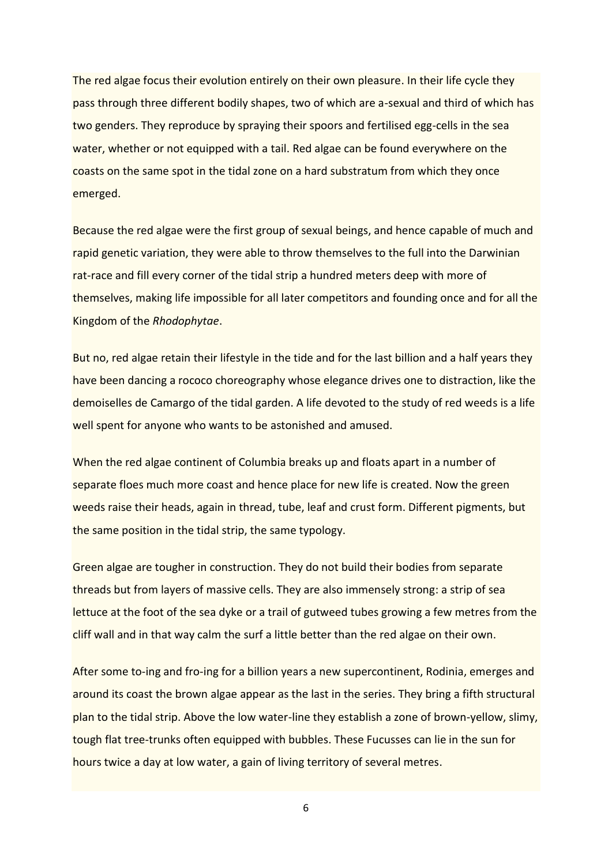The red algae focus their evolution entirely on their own pleasure. In their life cycle they pass through three different bodily shapes, two of which are a-sexual and third of which has two genders. They reproduce by spraying their spoors and fertilised egg-cells in the sea water, whether or not equipped with a tail. Red algae can be found everywhere on the coasts on the same spot in the tidal zone on a hard substratum from which they once emerged.

Because the red algae were the first group of sexual beings, and hence capable of much and rapid genetic variation, they were able to throw themselves to the full into the Darwinian rat-race and fill every corner of the tidal strip a hundred meters deep with more of themselves, making life impossible for all later competitors and founding once and for all the Kingdom of the *Rhodophytae*.

But no, red algae retain their lifestyle in the tide and for the last billion and a half years they have been dancing a rococo choreography whose elegance drives one to distraction, like the demoiselles de Camargo of the tidal garden. A life devoted to the study of red weeds is a life well spent for anyone who wants to be astonished and amused.

When the red algae continent of Columbia breaks up and floats apart in a number of separate floes much more coast and hence place for new life is created. Now the green weeds raise their heads, again in thread, tube, leaf and crust form. Different pigments, but the same position in the tidal strip, the same typology.

Green algae are tougher in construction. They do not build their bodies from separate threads but from layers of massive cells. They are also immensely strong: a strip of sea lettuce at the foot of the sea dyke or a trail of gutweed tubes growing a few metres from the cliff wall and in that way calm the surf a little better than the red algae on their own.

After some to-ing and fro-ing for a billion years a new supercontinent, Rodinia, emerges and around its coast the brown algae appear as the last in the series. They bring a fifth structural plan to the tidal strip. Above the low water-line they establish a zone of brown-yellow, slimy, tough flat tree-trunks often equipped with bubbles. These Fucusses can lie in the sun for hours twice a day at low water, a gain of living territory of several metres.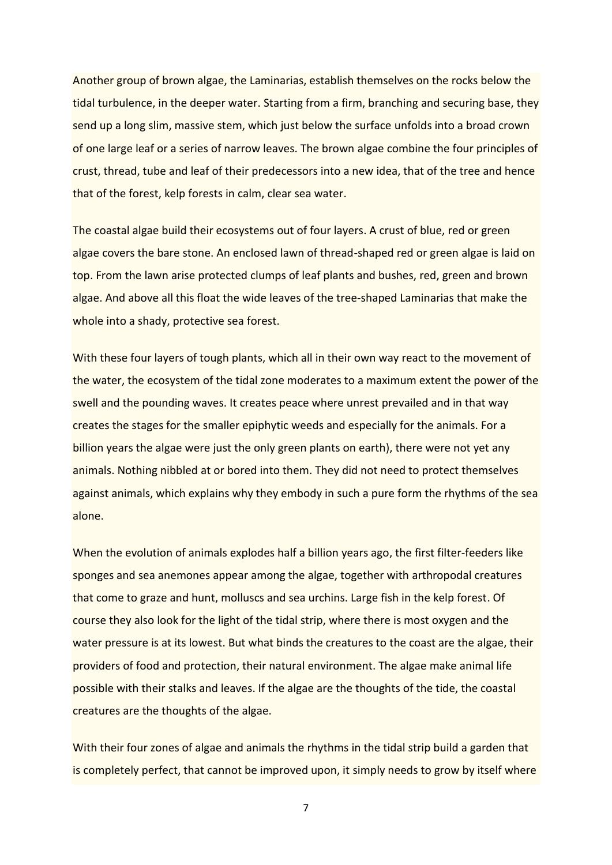Another group of brown algae, the Laminarias, establish themselves on the rocks below the tidal turbulence, in the deeper water. Starting from a firm, branching and securing base, they send up a long slim, massive stem, which just below the surface unfolds into a broad crown of one large leaf or a series of narrow leaves. The brown algae combine the four principles of crust, thread, tube and leaf of their predecessors into a new idea, that of the tree and hence that of the forest, kelp forests in calm, clear sea water.

The coastal algae build their ecosystems out of four layers. A crust of blue, red or green algae covers the bare stone. An enclosed lawn of thread-shaped red or green algae is laid on top. From the lawn arise protected clumps of leaf plants and bushes, red, green and brown algae. And above all this float the wide leaves of the tree-shaped Laminarias that make the whole into a shady, protective sea forest.

With these four layers of tough plants, which all in their own way react to the movement of the water, the ecosystem of the tidal zone moderates to a maximum extent the power of the swell and the pounding waves. It creates peace where unrest prevailed and in that way creates the stages for the smaller epiphytic weeds and especially for the animals. For a billion years the algae were just the only green plants on earth), there were not yet any animals. Nothing nibbled at or bored into them. They did not need to protect themselves against animals, which explains why they embody in such a pure form the rhythms of the sea alone.

When the evolution of animals explodes half a billion years ago, the first filter-feeders like sponges and sea anemones appear among the algae, together with arthropodal creatures that come to graze and hunt, molluscs and sea urchins. Large fish in the kelp forest. Of course they also look for the light of the tidal strip, where there is most oxygen and the water pressure is at its lowest. But what binds the creatures to the coast are the algae, their providers of food and protection, their natural environment. The algae make animal life possible with their stalks and leaves. If the algae are the thoughts of the tide, the coastal creatures are the thoughts of the algae.

With their four zones of algae and animals the rhythms in the tidal strip build a garden that is completely perfect, that cannot be improved upon, it simply needs to grow by itself where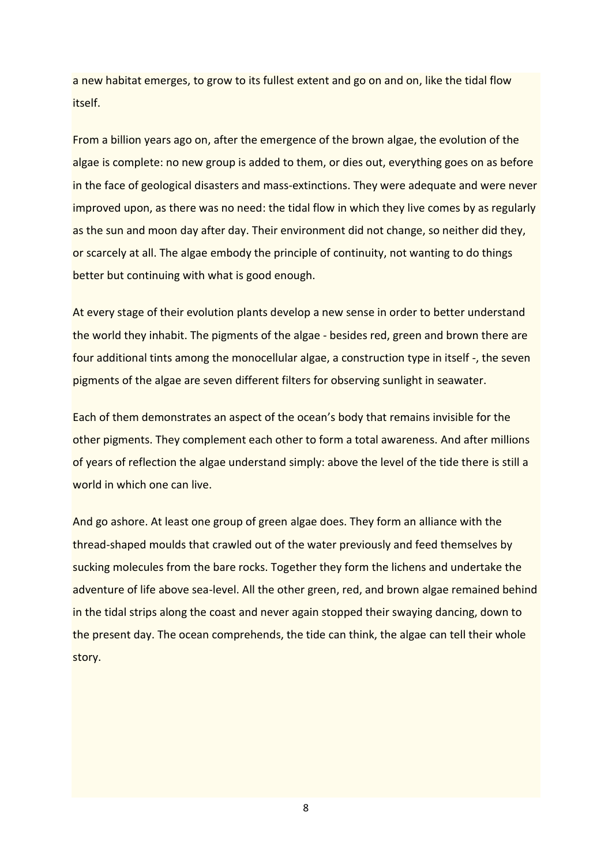a new habitat emerges, to grow to its fullest extent and go on and on, like the tidal flow itself.

From a billion years ago on, after the emergence of the brown algae, the evolution of the algae is complete: no new group is added to them, or dies out, everything goes on as before in the face of geological disasters and mass-extinctions. They were adequate and were never improved upon, as there was no need: the tidal flow in which they live comes by as regularly as the sun and moon day after day. Their environment did not change, so neither did they, or scarcely at all. The algae embody the principle of continuity, not wanting to do things better but continuing with what is good enough.

At every stage of their evolution plants develop a new sense in order to better understand the world they inhabit. The pigments of the algae - besides red, green and brown there are four additional tints among the monocellular algae, a construction type in itself -, the seven pigments of the algae are seven different filters for observing sunlight in seawater.

Each of them demonstrates an aspect of the ocean's body that remains invisible for the other pigments. They complement each other to form a total awareness. And after millions of years of reflection the algae understand simply: above the level of the tide there is still a world in which one can live.

And go ashore. At least one group of green algae does. They form an alliance with the thread-shaped moulds that crawled out of the water previously and feed themselves by sucking molecules from the bare rocks. Together they form the lichens and undertake the adventure of life above sea-level. All the other green, red, and brown algae remained behind in the tidal strips along the coast and never again stopped their swaying dancing, down to the present day. The ocean comprehends, the tide can think, the algae can tell their whole story.